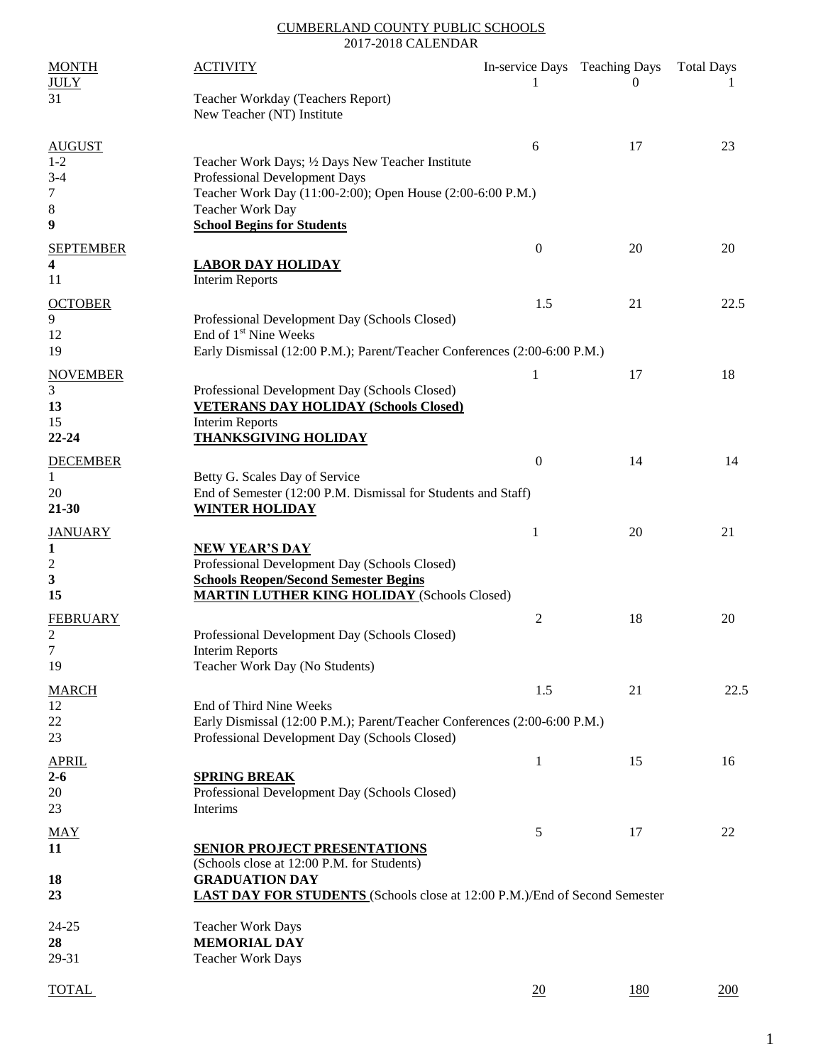#### CUMBERLAND COUNTY PUBLIC SCHOOLS 2017-2018 CALENDAR

| <b>MONTH</b><br><b>JULY</b>  | <b>ACTIVITY</b>                                                                                                                                                 | 1                | In-service Days Teaching Days<br>$\theta$ | <b>Total Days</b> |
|------------------------------|-----------------------------------------------------------------------------------------------------------------------------------------------------------------|------------------|-------------------------------------------|-------------------|
| 31                           | Teacher Workday (Teachers Report)<br>New Teacher (NT) Institute                                                                                                 |                  |                                           |                   |
| <b>AUGUST</b>                |                                                                                                                                                                 | 6                | 17                                        | 23                |
| $1 - 2$<br>$3 - 4$<br>7      | Teacher Work Days; 1/2 Days New Teacher Institute<br>Professional Development Days<br>Teacher Work Day (11:00-2:00); Open House (2:00-6:00 P.M.)                |                  |                                           |                   |
| 8                            | Teacher Work Day                                                                                                                                                |                  |                                           |                   |
| 9                            | <b>School Begins for Students</b>                                                                                                                               |                  |                                           |                   |
| <b>SEPTEMBER</b><br>4<br>11  | <b>LABOR DAY HOLIDAY</b><br><b>Interim Reports</b>                                                                                                              | $\boldsymbol{0}$ | 20                                        | 20                |
| <b>OCTOBER</b>               |                                                                                                                                                                 | 1.5              | 21                                        | 22.5              |
| 9<br>12<br>19                | Professional Development Day (Schools Closed)<br>End of 1 <sup>st</sup> Nine Weeks<br>Early Dismissal (12:00 P.M.); Parent/Teacher Conferences (2:00-6:00 P.M.) |                  |                                           |                   |
| <b>NOVEMBER</b>              |                                                                                                                                                                 | 1                | 17                                        | 18                |
| 3<br>13                      | Professional Development Day (Schools Closed)<br><b>VETERANS DAY HOLIDAY (Schools Closed)</b>                                                                   |                  |                                           |                   |
| 15<br>22-24                  | <b>Interim Reports</b><br><b>THANKSGIVING HOLIDAY</b>                                                                                                           |                  |                                           |                   |
| <b>DECEMBER</b>              |                                                                                                                                                                 | $\overline{0}$   | 14                                        | 14                |
| 1<br>20<br>$21 - 30$         | Betty G. Scales Day of Service<br>End of Semester (12:00 P.M. Dismissal for Students and Staff)<br><b>WINTER HOLIDAY</b>                                        |                  |                                           |                   |
| <b>JANUARY</b>               |                                                                                                                                                                 | 1                | 20                                        | 21                |
| 1<br>$\boldsymbol{2}$        | <b>NEW YEAR'S DAY</b><br>Professional Development Day (Schools Closed)                                                                                          |                  |                                           |                   |
| 3<br>15                      | <b>Schools Reopen/Second Semester Begins</b><br><b>MARTIN LUTHER KING HOLIDAY (Schools Closed)</b>                                                              |                  |                                           |                   |
| <b>FEBRUARY</b>              |                                                                                                                                                                 | $\overline{c}$   | 18                                        | 20                |
| $\overline{\mathbf{c}}$<br>7 | Professional Development Day (Schools Closed)<br><b>Interim Reports</b>                                                                                         |                  |                                           |                   |
| 19                           | Teacher Work Day (No Students)                                                                                                                                  |                  |                                           |                   |
| <b>MARCH</b><br>12           | End of Third Nine Weeks                                                                                                                                         | 1.5              | 21                                        | 22.5              |
| 22<br>23                     | Early Dismissal (12:00 P.M.); Parent/Teacher Conferences (2:00-6:00 P.M.)<br>Professional Development Day (Schools Closed)                                      |                  |                                           |                   |
| <b>APRIL</b>                 |                                                                                                                                                                 | $\mathbf{1}$     | 15                                        | 16                |
| $2 - 6$<br>20                | <b>SPRING BREAK</b><br>Professional Development Day (Schools Closed)                                                                                            |                  |                                           |                   |
| 23                           | Interims                                                                                                                                                        |                  |                                           |                   |
| <b>MAY</b><br>11             | <b>SENIOR PROJECT PRESENTATIONS</b>                                                                                                                             | 5                | 17                                        | 22                |
| 18<br>23                     | (Schools close at 12:00 P.M. for Students)<br><b>GRADUATION DAY</b><br><b>LAST DAY FOR STUDENTS</b> (Schools close at 12:00 P.M.)/End of Second Semester        |                  |                                           |                   |
| 24-25                        | <b>Teacher Work Days</b>                                                                                                                                        |                  |                                           |                   |
| 28                           | <b>MEMORIAL DAY</b>                                                                                                                                             |                  |                                           |                   |
| 29-31                        | <b>Teacher Work Days</b>                                                                                                                                        |                  |                                           |                   |